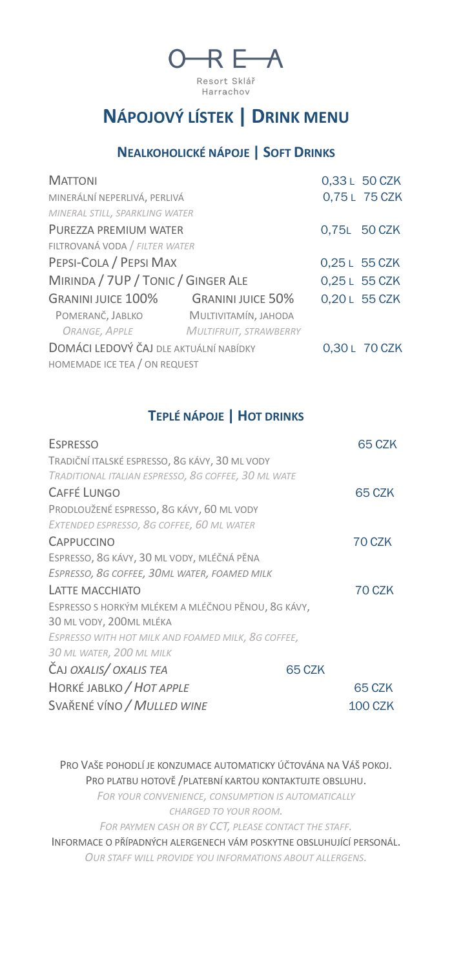

# **NÁPOJOVÝ LÍSTEK | DRINK MENU**

#### **NEALKOHOLICKÉ NÁPOJE | SOFT DRINKS**

| <b>MATTONI</b>                         |                          | 0,33 L 50 CZK |
|----------------------------------------|--------------------------|---------------|
| MINERÁLNÍ NEPERLIVÁ, PERLIVÁ           |                          | 0,75L 75 CZK  |
| MINERAL STILL, SPARKLING WATER         |                          |               |
| PURF77A PREMIUM WATER                  |                          | 0,75L 50 CZK  |
| FILTROVANÁ VODA / FILTER WATER         |                          |               |
| PEPSI-COLA / PEPSI MAX                 |                          | 0,25 L 55 CZK |
| MIRINDA / 7UP / TONIC / GINGER ALE     |                          | 0,25 L 55 CZK |
| <b>GRANINI JUICE 100%</b>              | <b>GRANINI JUICE 50%</b> | 0,20 L 55 CZK |
| Pomeranč, Jablko                       | MULTIVITAMÍN, JAHODA     |               |
| ORANGE, APPLE MULTIFRUIT, STRAWBERRY   |                          |               |
| DOMÁCI LEDOVÝ ČAJ DLE AKTUÁLNÍ NABÍDKY |                          | 0,30 L 70 CZK |
| HOMEMADE ICE TEA / ON REQUEST          |                          |               |

### **TEPLÉ NÁPOJE | HOT DRINKS**

| <b>ESPRESSO</b>                                     |        | 65 CZK         |
|-----------------------------------------------------|--------|----------------|
| TRADIČNÍ ITALSKÉ ESPRESSO, 8G KÁVY, 30 ML VODY      |        |                |
| TRADITIONAL ITALIAN ESPRESSO, 8G COFFEE, 30 ML WATE |        |                |
| <b>CAFFÉ LUNGO</b>                                  |        | 65 CZK         |
| PRODLOUŽENÉ ESPRESSO, 8G KÁVY, 60 ML VODY           |        |                |
| EXTENDED ESPRESSO, 8G COFFEE, 60 ML WATER           |        |                |
| <b>CAPPUCCINO</b>                                   |        | 70 CZK         |
| ESPRESSO, 8G KÁVY, 30 ML VODY, MLÉČNÁ PĚNA          |        |                |
| ESPRESSO, 8G COFFEE, 30ML WATER, FOAMED MILK        |        |                |
| LATTE MACCHIATO                                     |        | 70 CZK         |
| ESPRESSO S HORKÝM MLÉKEM A MLÉČNOU PĚNOU, 8G KÁVY,  |        |                |
| 30 ML VODY, 200ML MLÉKA                             |        |                |
| ESPRESSO WITH HOT MILK AND FOAMED MILK, 8G COFFEE,  |        |                |
| 30 ML WATER, 200 ML MILK                            |        |                |
| CAJ OXALIS/ OXALIS TEA                              | 65 CZK |                |
| HORKÉ JABLKO / HOT APPLE                            |        | 65 CZK         |
| SVAŘENÉ VÍNO / MULLED WINE                          |        | <b>100 CZK</b> |

PRO VAŠE POHODLÍ JE KONZUMACE AUTOMATICKY ÚČTOVÁNA NA VÁŠ POKOJ. PRO PLATBU HOTOVĚ /PLATEBNÍ KARTOU KONTAKTUJTE OBSLUHU. *FOR YOUR CONVENIENCE, CONSUMPTION IS AUTOMATICALLY* 

*CHARGED TO YOUR ROOM.*

*FOR PAYMEN CASH OR BY CCT, PLEASE CONTACT THE STAFF.*

INFORMACE O PŘÍPADNÝCH ALERGENECH VÁM POSKYTNE OBSLUHUJÍCÍ PERSONÁL. *OUR STAFF WILL PROVIDE YOU INFORMATIONS ABOUT ALLERGENS.*